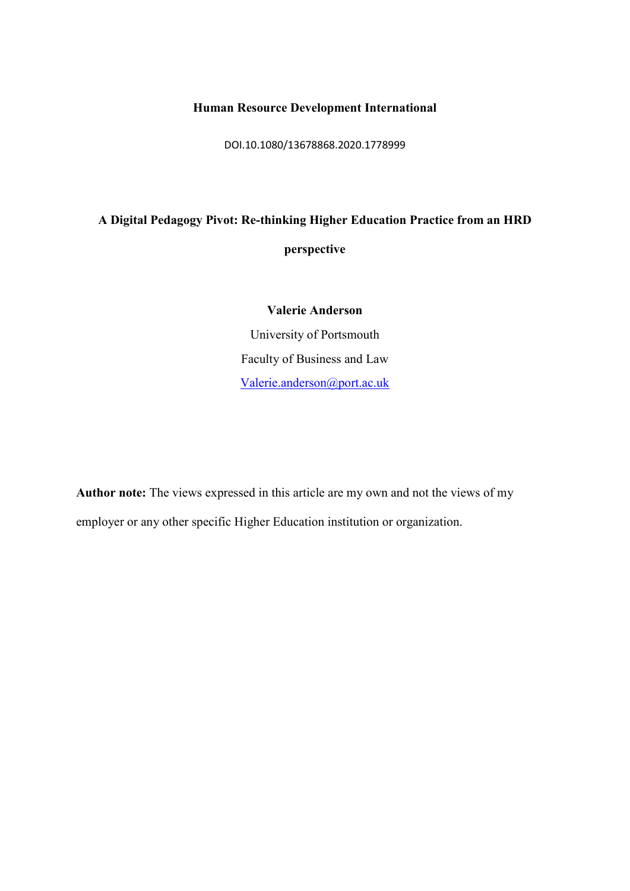## **Human Resource Development International**

DOI.10.1080/13678868.2020.1778999

## **A Digital Pedagogy Pivot: Re-thinking Higher Education Practice from an HRD perspective**

**Valerie Anderson** University of Portsmouth Faculty of Business and Law [Valerie.anderson@port.ac.uk](mailto:Valerie.anderson@port.ac.uk)

**Author note:** The views expressed in this article are my own and not the views of my employer or any other specific Higher Education institution or organization.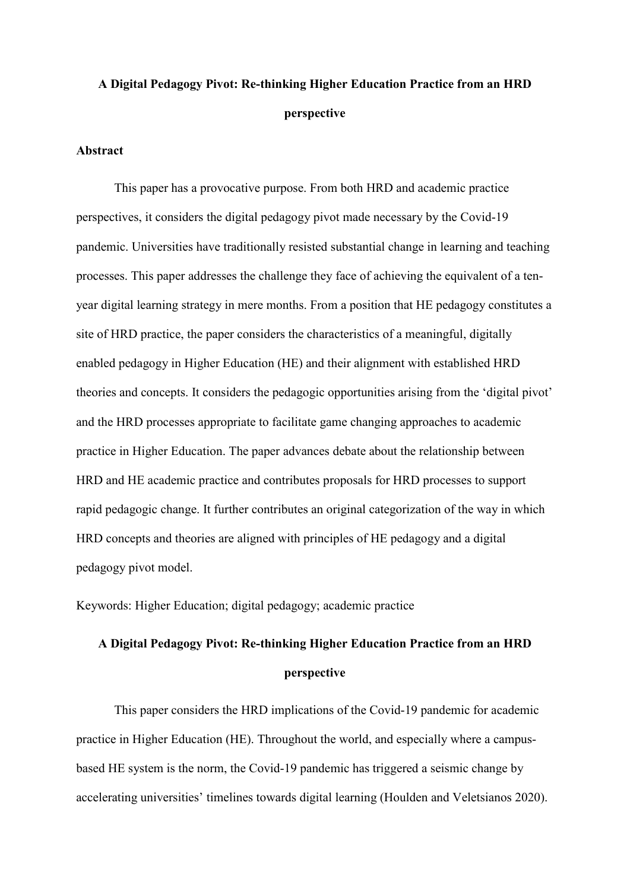## **A Digital Pedagogy Pivot: Re-thinking Higher Education Practice from an HRD perspective**

## **Abstract**

This paper has a provocative purpose. From both HRD and academic practice perspectives, it considers the digital pedagogy pivot made necessary by the Covid-19 pandemic. Universities have traditionally resisted substantial change in learning and teaching processes. This paper addresses the challenge they face of achieving the equivalent of a tenyear digital learning strategy in mere months. From a position that HE pedagogy constitutes a site of HRD practice, the paper considers the characteristics of a meaningful, digitally enabled pedagogy in Higher Education (HE) and their alignment with established HRD theories and concepts. It considers the pedagogic opportunities arising from the 'digital pivot' and the HRD processes appropriate to facilitate game changing approaches to academic practice in Higher Education. The paper advances debate about the relationship between HRD and HE academic practice and contributes proposals for HRD processes to support rapid pedagogic change. It further contributes an original categorization of the way in which HRD concepts and theories are aligned with principles of HE pedagogy and a digital pedagogy pivot model.

Keywords: Higher Education; digital pedagogy; academic practice

# **A Digital Pedagogy Pivot: Re-thinking Higher Education Practice from an HRD perspective**

This paper considers the HRD implications of the Covid-19 pandemic for academic practice in Higher Education (HE). Throughout the world, and especially where a campusbased HE system is the norm, the Covid-19 pandemic has triggered a seismic change by accelerating universities' timelines towards digital learning (Houlden and Veletsianos 2020).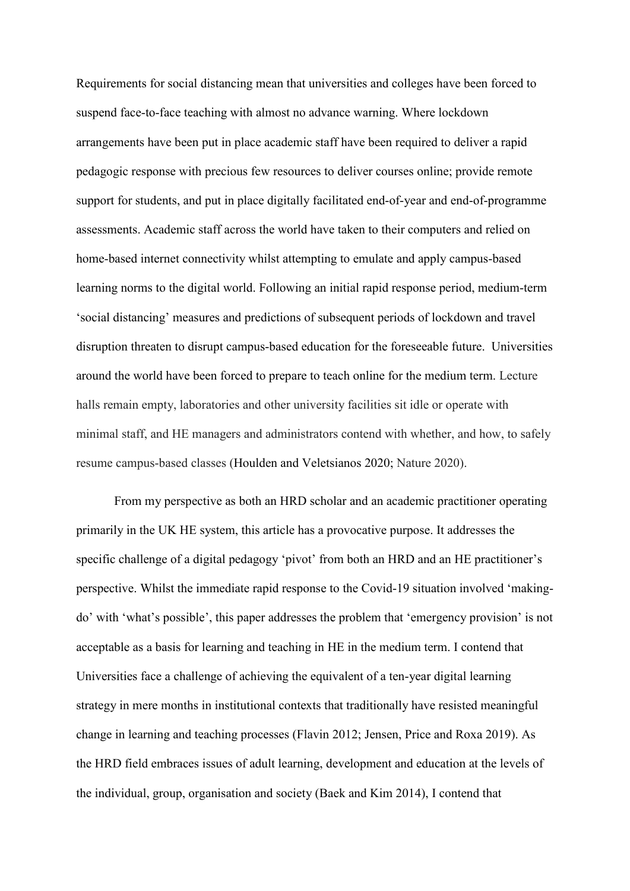Requirements for social distancing mean that universities and colleges have been forced to suspend face-to-face teaching with almost no advance warning. Where lockdown arrangements have been put in place academic staff have been required to deliver a rapid pedagogic response with precious few resources to deliver courses online; provide remote support for students, and put in place digitally facilitated end-of-year and end-of-programme assessments. Academic staff across the world have taken to their computers and relied on home-based internet connectivity whilst attempting to emulate and apply campus-based learning norms to the digital world. Following an initial rapid response period, medium-term 'social distancing' measures and predictions of subsequent periods of lockdown and travel disruption threaten to disrupt campus-based education for the foreseeable future. Universities around the world have been forced to prepare to teach online for the medium term. Lecture halls remain empty, laboratories and other university facilities sit idle or operate with minimal staff, and HE managers and administrators contend with whether, and how, to safely resume campus-based classes (Houlden and Veletsianos 2020; Nature 2020).

From my perspective as both an HRD scholar and an academic practitioner operating primarily in the UK HE system, this article has a provocative purpose. It addresses the specific challenge of a digital pedagogy 'pivot' from both an HRD and an HE practitioner's perspective. Whilst the immediate rapid response to the Covid-19 situation involved 'makingdo' with 'what's possible', this paper addresses the problem that 'emergency provision' is not acceptable as a basis for learning and teaching in HE in the medium term. I contend that Universities face a challenge of achieving the equivalent of a ten-year digital learning strategy in mere months in institutional contexts that traditionally have resisted meaningful change in learning and teaching processes (Flavin 2012; Jensen, Price and Roxa 2019). As the HRD field embraces issues of adult learning, development and education at the levels of the individual, group, organisation and society (Baek and Kim 2014), I contend that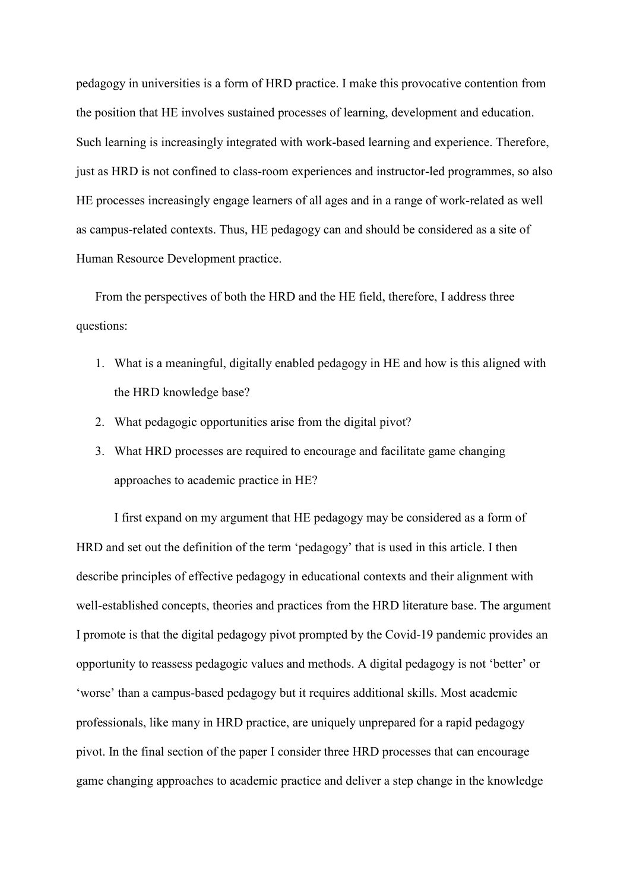pedagogy in universities is a form of HRD practice. I make this provocative contention from the position that HE involves sustained processes of learning, development and education. Such learning is increasingly integrated with work-based learning and experience. Therefore, just as HRD is not confined to class-room experiences and instructor-led programmes, so also HE processes increasingly engage learners of all ages and in a range of work-related as well as campus-related contexts. Thus, HE pedagogy can and should be considered as a site of Human Resource Development practice.

From the perspectives of both the HRD and the HE field, therefore, I address three questions:

- 1. What is a meaningful, digitally enabled pedagogy in HE and how is this aligned with the HRD knowledge base?
- 2. What pedagogic opportunities arise from the digital pivot?
- 3. What HRD processes are required to encourage and facilitate game changing approaches to academic practice in HE?

I first expand on my argument that HE pedagogy may be considered as a form of HRD and set out the definition of the term 'pedagogy' that is used in this article. I then describe principles of effective pedagogy in educational contexts and their alignment with well-established concepts, theories and practices from the HRD literature base. The argument I promote is that the digital pedagogy pivot prompted by the Covid-19 pandemic provides an opportunity to reassess pedagogic values and methods. A digital pedagogy is not 'better' or 'worse' than a campus-based pedagogy but it requires additional skills. Most academic professionals, like many in HRD practice, are uniquely unprepared for a rapid pedagogy pivot. In the final section of the paper I consider three HRD processes that can encourage game changing approaches to academic practice and deliver a step change in the knowledge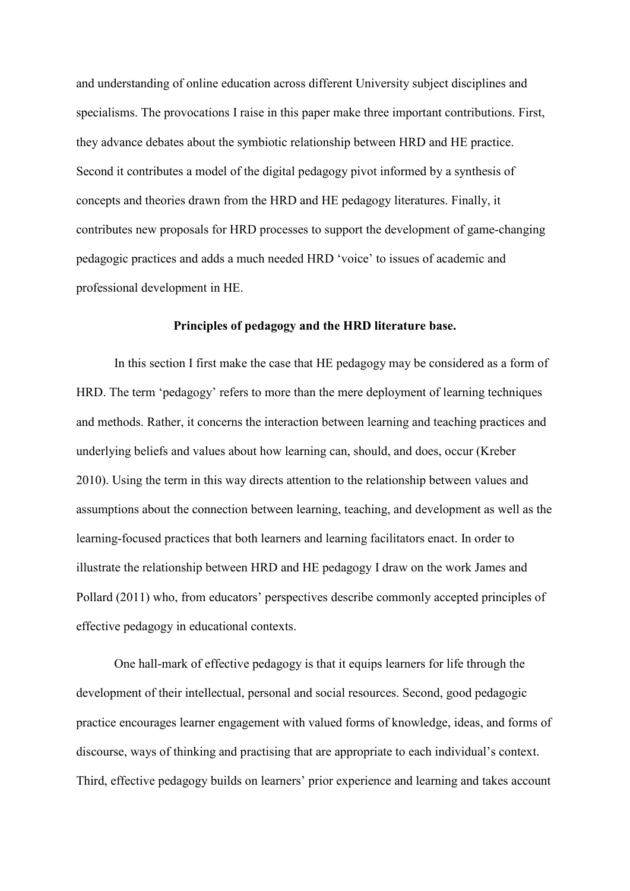and understanding of online education across different University subject disciplines and specialisms. The provocations I raise in this paper make three important contributions. First, they advance debates about the symbiotic relationship between HRD and HE practice. Second it contributes a model of the digital pedagogy pivot informed by a synthesis of concepts and theories drawn from the HRD and HE pedagogy literatures. Finally, it contributes new proposals for HRD processes to support the development of game-changing pedagogic practices and adds a much needed HRD 'voice' to issues of academic and professional development in HE.

#### **Principles of pedagogy and the HRD literature base.**

In this section I first make the case that HE pedagogy may be considered as a form of HRD. The term 'pedagogy' refers to more than the mere deployment of learning techniques and methods. Rather, it concerns the interaction between learning and teaching practices and underlying beliefs and values about how learning can, should, and does, occur (Kreber 2010). Using the term in this way directs attention to the relationship between values and assumptions about the connection between learning, teaching, and development as well as the learning-focused practices that both learners and learning facilitators enact. In order to illustrate the relationship between HRD and HE pedagogy I draw on the work James and Pollard (2011) who, from educators' perspectives describe commonly accepted principles of effective pedagogy in educational contexts.

One hall-mark of effective pedagogy is that it equips learners for life through the development of their intellectual, personal and social resources. Second, good pedagogic practice encourages learner engagement with valued forms of knowledge, ideas, and forms of discourse, ways of thinking and practising that are appropriate to each individual's context. Third, effective pedagogy builds on learners' prior experience and learning and takes account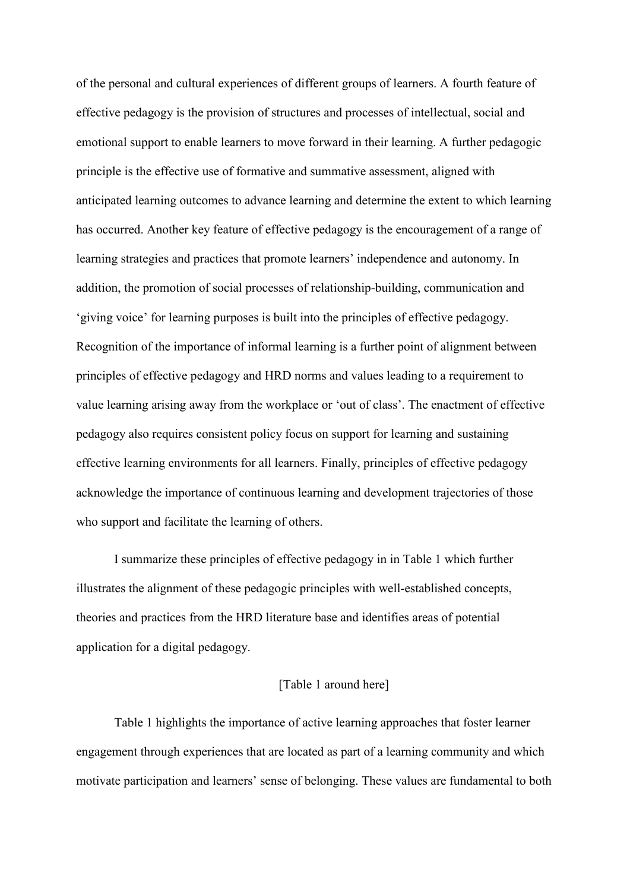of the personal and cultural experiences of different groups of learners. A fourth feature of effective pedagogy is the provision of structures and processes of intellectual, social and emotional support to enable learners to move forward in their learning. A further pedagogic principle is the effective use of formative and summative assessment, aligned with anticipated learning outcomes to advance learning and determine the extent to which learning has occurred. Another key feature of effective pedagogy is the encouragement of a range of learning strategies and practices that promote learners' independence and autonomy. In addition, the promotion of social processes of relationship-building, communication and 'giving voice' for learning purposes is built into the principles of effective pedagogy. Recognition of the importance of informal learning is a further point of alignment between principles of effective pedagogy and HRD norms and values leading to a requirement to value learning arising away from the workplace or 'out of class'. The enactment of effective pedagogy also requires consistent policy focus on support for learning and sustaining effective learning environments for all learners. Finally, principles of effective pedagogy acknowledge the importance of continuous learning and development trajectories of those who support and facilitate the learning of others.

I summarize these principles of effective pedagogy in in Table 1 which further illustrates the alignment of these pedagogic principles with well-established concepts, theories and practices from the HRD literature base and identifies areas of potential application for a digital pedagogy.

## [Table 1 around here]

Table 1 highlights the importance of active learning approaches that foster learner engagement through experiences that are located as part of a learning community and which motivate participation and learners' sense of belonging. These values are fundamental to both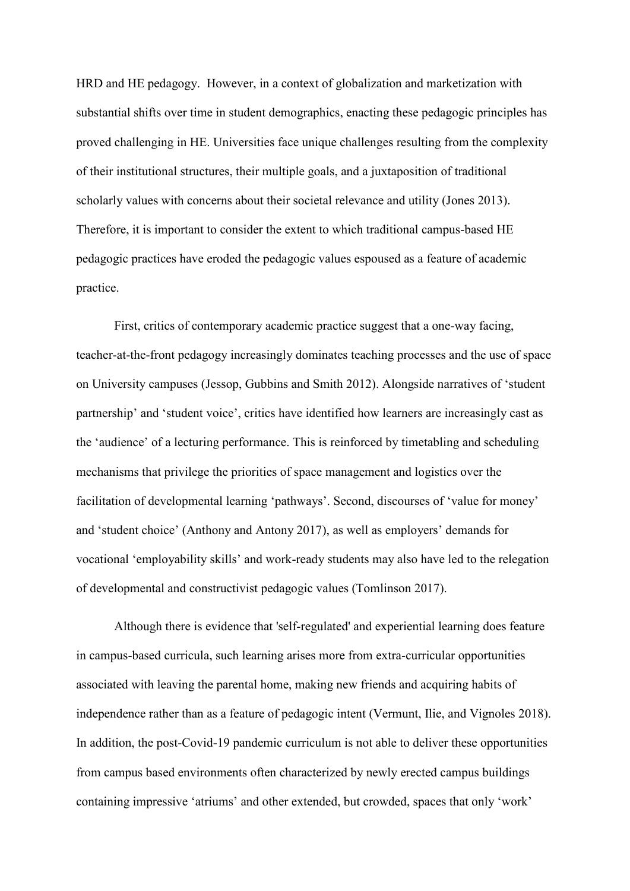HRD and HE pedagogy. However, in a context of globalization and marketization with substantial shifts over time in student demographics, enacting these pedagogic principles has proved challenging in HE. Universities face unique challenges resulting from the complexity of their institutional structures, their multiple goals, and a juxtaposition of traditional scholarly values with concerns about their societal relevance and utility (Jones 2013). Therefore, it is important to consider the extent to which traditional campus-based HE pedagogic practices have eroded the pedagogic values espoused as a feature of academic practice.

First, critics of contemporary academic practice suggest that a one-way facing, teacher-at-the-front pedagogy increasingly dominates teaching processes and the use of space on University campuses (Jessop, Gubbins and Smith 2012). Alongside narratives of 'student partnership' and 'student voice', critics have identified how learners are increasingly cast as the 'audience' of a lecturing performance. This is reinforced by timetabling and scheduling mechanisms that privilege the priorities of space management and logistics over the facilitation of developmental learning 'pathways'. Second, discourses of 'value for money' and 'student choice' (Anthony and Antony 2017), as well as employers' demands for vocational 'employability skills' and work-ready students may also have led to the relegation of developmental and constructivist pedagogic values (Tomlinson 2017).

Although there is evidence that 'self-regulated' and experiential learning does feature in campus-based curricula, such learning arises more from extra-curricular opportunities associated with leaving the parental home, making new friends and acquiring habits of independence rather than as a feature of pedagogic intent (Vermunt, Ilie, and Vignoles 2018). In addition, the post-Covid-19 pandemic curriculum is not able to deliver these opportunities from campus based environments often characterized by newly erected campus buildings containing impressive 'atriums' and other extended, but crowded, spaces that only 'work'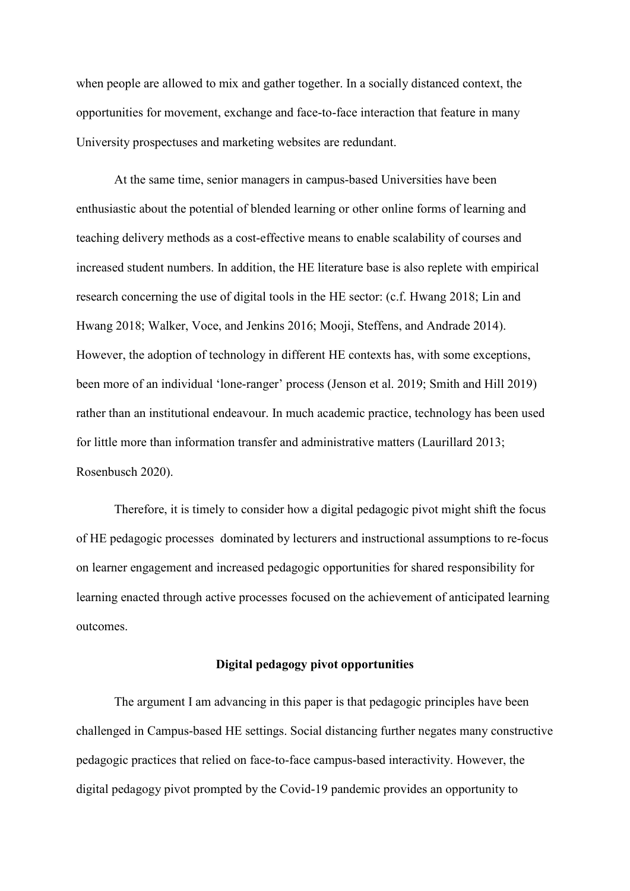when people are allowed to mix and gather together. In a socially distanced context, the opportunities for movement, exchange and face-to-face interaction that feature in many University prospectuses and marketing websites are redundant.

At the same time, senior managers in campus-based Universities have been enthusiastic about the potential of blended learning or other online forms of learning and teaching delivery methods as a cost-effective means to enable scalability of courses and increased student numbers. In addition, the HE literature base is also replete with empirical research concerning the use of digital tools in the HE sector: (c.f. Hwang 2018; Lin and Hwang 2018; Walker, Voce, and Jenkins 2016; Mooji, Steffens, and Andrade 2014). However, the adoption of technology in different HE contexts has, with some exceptions, been more of an individual 'lone-ranger' process (Jenson et al. 2019; Smith and Hill 2019) rather than an institutional endeavour. In much academic practice, technology has been used for little more than information transfer and administrative matters (Laurillard 2013; Rosenbusch 2020).

Therefore, it is timely to consider how a digital pedagogic pivot might shift the focus of HE pedagogic processes dominated by lecturers and instructional assumptions to re-focus on learner engagement and increased pedagogic opportunities for shared responsibility for learning enacted through active processes focused on the achievement of anticipated learning outcomes.

## **Digital pedagogy pivot opportunities**

The argument I am advancing in this paper is that pedagogic principles have been challenged in Campus-based HE settings. Social distancing further negates many constructive pedagogic practices that relied on face-to-face campus-based interactivity. However, the digital pedagogy pivot prompted by the Covid-19 pandemic provides an opportunity to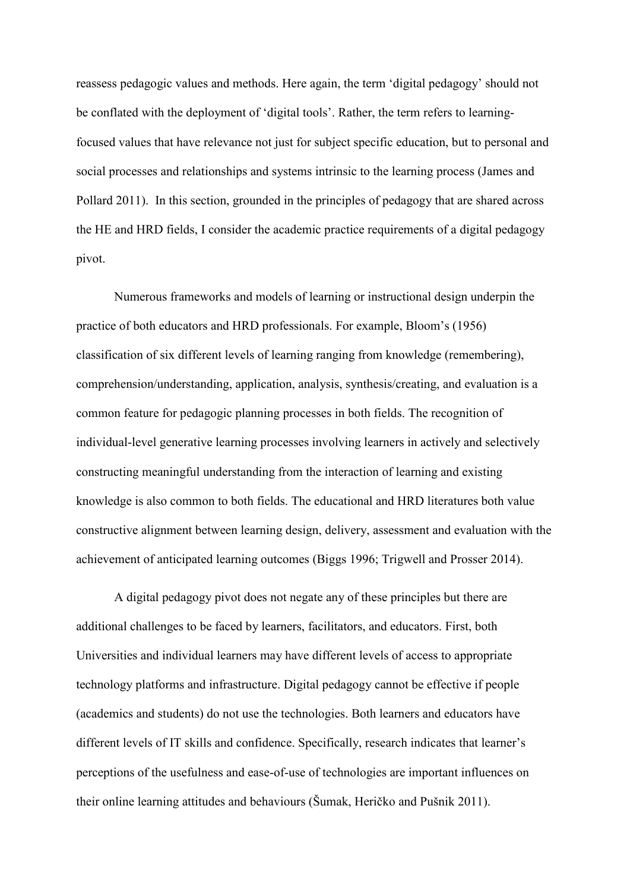reassess pedagogic values and methods. Here again, the term 'digital pedagogy' should not be conflated with the deployment of 'digital tools'. Rather, the term refers to learningfocused values that have relevance not just for subject specific education, but to personal and social processes and relationships and systems intrinsic to the learning process (James and Pollard 2011). In this section, grounded in the principles of pedagogy that are shared across the HE and HRD fields, I consider the academic practice requirements of a digital pedagogy pivot.

Numerous frameworks and models of learning or instructional design underpin the practice of both educators and HRD professionals. For example, Bloom's (1956) classification of six different levels of learning ranging from knowledge (remembering), comprehension/understanding, application, analysis, synthesis/creating, and evaluation is a common feature for pedagogic planning processes in both fields. The recognition of individual-level generative learning processes involving learners in actively and selectively constructing meaningful understanding from the interaction of learning and existing knowledge is also common to both fields. The educational and HRD literatures both value constructive alignment between learning design, delivery, assessment and evaluation with the achievement of anticipated learning outcomes (Biggs 1996; Trigwell and Prosser 2014).

A digital pedagogy pivot does not negate any of these principles but there are additional challenges to be faced by learners, facilitators, and educators. First, both Universities and individual learners may have different levels of access to appropriate technology platforms and infrastructure. Digital pedagogy cannot be effective if people (academics and students) do not use the technologies. Both learners and educators have different levels of IT skills and confidence. Specifically, research indicates that learner's perceptions of the usefulness and ease-of-use of technologies are important influences on their online learning attitudes and behaviours (Šumak, Heričko and Pušnik 2011).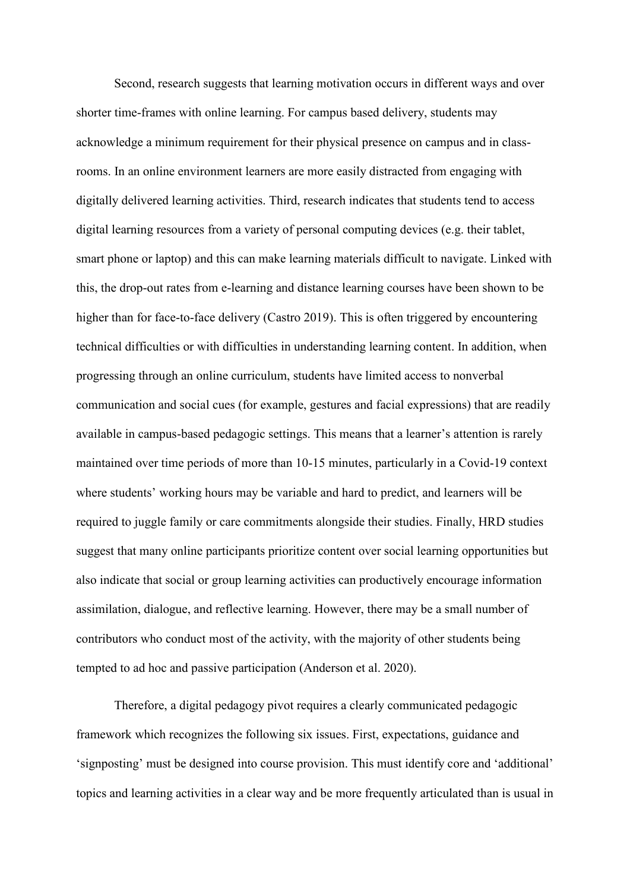Second, research suggests that learning motivation occurs in different ways and over shorter time-frames with online learning. For campus based delivery, students may acknowledge a minimum requirement for their physical presence on campus and in classrooms. In an online environment learners are more easily distracted from engaging with digitally delivered learning activities. Third, research indicates that students tend to access digital learning resources from a variety of personal computing devices (e.g. their tablet, smart phone or laptop) and this can make learning materials difficult to navigate. Linked with this, the drop-out rates from e-learning and distance learning courses have been shown to be higher than for face-to-face delivery (Castro 2019). This is often triggered by encountering technical difficulties or with difficulties in understanding learning content. In addition, when progressing through an online curriculum, students have limited access to nonverbal communication and social cues (for example, gestures and facial expressions) that are readily available in campus-based pedagogic settings. This means that a learner's attention is rarely maintained over time periods of more than 10-15 minutes, particularly in a Covid-19 context where students' working hours may be variable and hard to predict, and learners will be required to juggle family or care commitments alongside their studies. Finally, HRD studies suggest that many online participants prioritize content over social learning opportunities but also indicate that social or group learning activities can productively encourage information assimilation, dialogue, and reflective learning. However, there may be a small number of contributors who conduct most of the activity, with the majority of other students being tempted to ad hoc and passive participation (Anderson et al. 2020).

Therefore, a digital pedagogy pivot requires a clearly communicated pedagogic framework which recognizes the following six issues. First, expectations, guidance and 'signposting' must be designed into course provision. This must identify core and 'additional' topics and learning activities in a clear way and be more frequently articulated than is usual in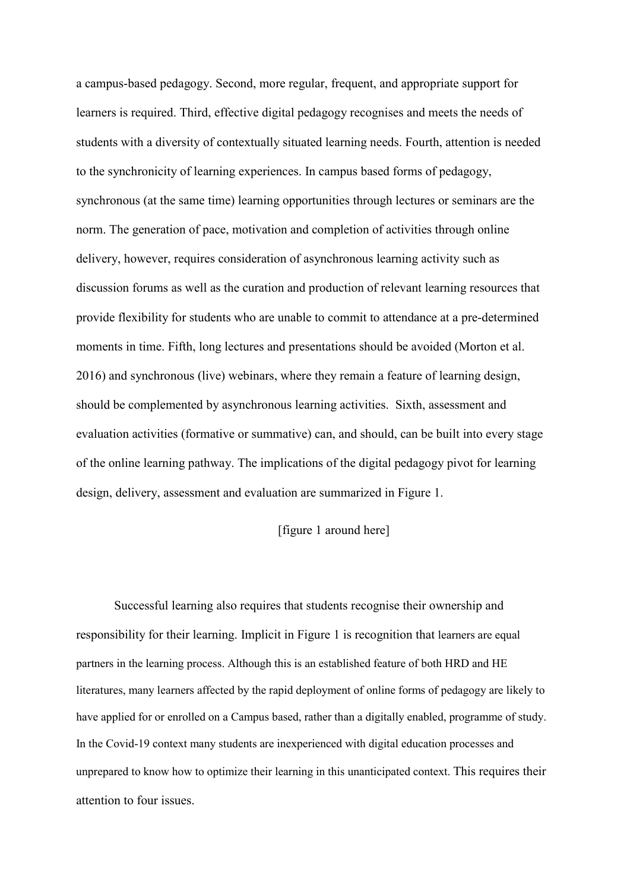a campus-based pedagogy. Second, more regular, frequent, and appropriate support for learners is required. Third, effective digital pedagogy recognises and meets the needs of students with a diversity of contextually situated learning needs. Fourth, attention is needed to the synchronicity of learning experiences. In campus based forms of pedagogy, synchronous (at the same time) learning opportunities through lectures or seminars are the norm. The generation of pace, motivation and completion of activities through online delivery, however, requires consideration of asynchronous learning activity such as discussion forums as well as the curation and production of relevant learning resources that provide flexibility for students who are unable to commit to attendance at a pre-determined moments in time. Fifth, long lectures and presentations should be avoided (Morton et al. 2016) and synchronous (live) webinars, where they remain a feature of learning design, should be complemented by asynchronous learning activities. Sixth, assessment and evaluation activities (formative or summative) can, and should, can be built into every stage of the online learning pathway. The implications of the digital pedagogy pivot for learning design, delivery, assessment and evaluation are summarized in Figure 1.

## [figure 1 around here]

Successful learning also requires that students recognise their ownership and responsibility for their learning. Implicit in Figure 1 is recognition that learners are equal partners in the learning process. Although this is an established feature of both HRD and HE literatures, many learners affected by the rapid deployment of online forms of pedagogy are likely to have applied for or enrolled on a Campus based, rather than a digitally enabled, programme of study. In the Covid-19 context many students are inexperienced with digital education processes and unprepared to know how to optimize their learning in this unanticipated context. This requires their attention to four issues.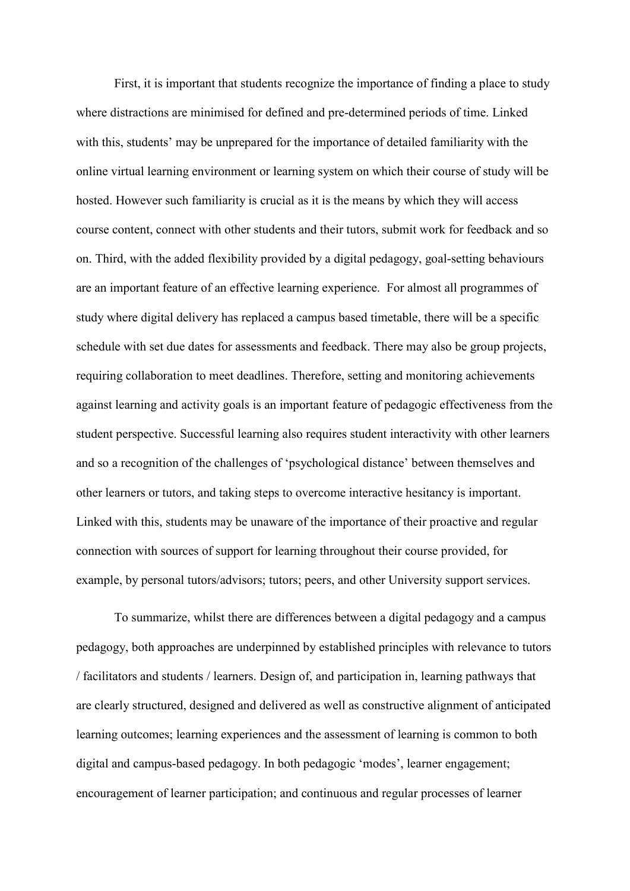First, it is important that students recognize the importance of finding a place to study where distractions are minimised for defined and pre-determined periods of time. Linked with this, students' may be unprepared for the importance of detailed familiarity with the online virtual learning environment or learning system on which their course of study will be hosted. However such familiarity is crucial as it is the means by which they will access course content, connect with other students and their tutors, submit work for feedback and so on. Third, with the added flexibility provided by a digital pedagogy, goal-setting behaviours are an important feature of an effective learning experience. For almost all programmes of study where digital delivery has replaced a campus based timetable, there will be a specific schedule with set due dates for assessments and feedback. There may also be group projects, requiring collaboration to meet deadlines. Therefore, setting and monitoring achievements against learning and activity goals is an important feature of pedagogic effectiveness from the student perspective. Successful learning also requires student interactivity with other learners and so a recognition of the challenges of 'psychological distance' between themselves and other learners or tutors, and taking steps to overcome interactive hesitancy is important. Linked with this, students may be unaware of the importance of their proactive and regular connection with sources of support for learning throughout their course provided, for example, by personal tutors/advisors; tutors; peers, and other University support services.

To summarize, whilst there are differences between a digital pedagogy and a campus pedagogy, both approaches are underpinned by established principles with relevance to tutors / facilitators and students / learners. Design of, and participation in, learning pathways that are clearly structured, designed and delivered as well as constructive alignment of anticipated learning outcomes; learning experiences and the assessment of learning is common to both digital and campus-based pedagogy. In both pedagogic 'modes', learner engagement; encouragement of learner participation; and continuous and regular processes of learner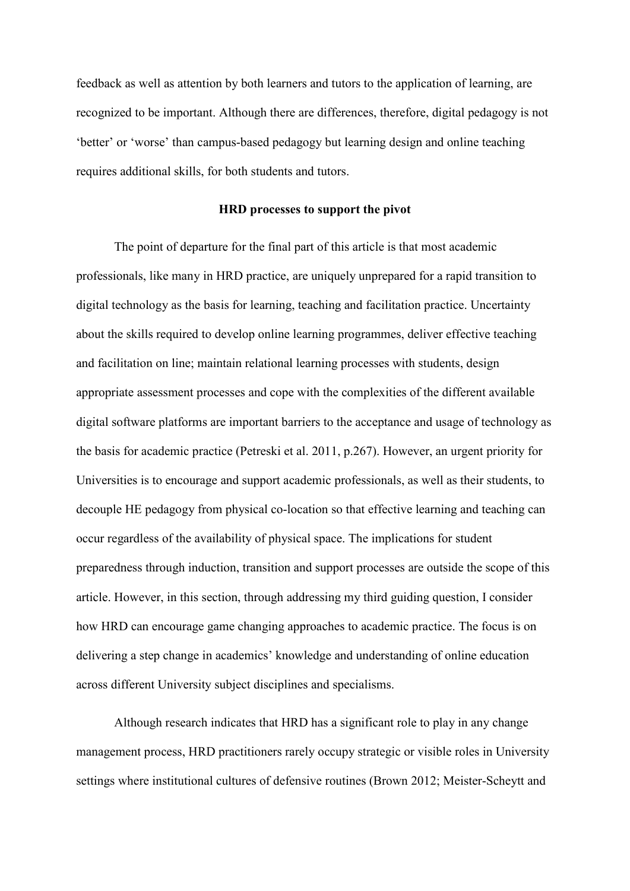feedback as well as attention by both learners and tutors to the application of learning, are recognized to be important. Although there are differences, therefore, digital pedagogy is not 'better' or 'worse' than campus-based pedagogy but learning design and online teaching requires additional skills, for both students and tutors.

## **HRD processes to support the pivot**

The point of departure for the final part of this article is that most academic professionals, like many in HRD practice, are uniquely unprepared for a rapid transition to digital technology as the basis for learning, teaching and facilitation practice. Uncertainty about the skills required to develop online learning programmes, deliver effective teaching and facilitation on line; maintain relational learning processes with students, design appropriate assessment processes and cope with the complexities of the different available digital software platforms are important barriers to the acceptance and usage of technology as the basis for academic practice (Petreski et al. 2011, p.267). However, an urgent priority for Universities is to encourage and support academic professionals, as well as their students, to decouple HE pedagogy from physical co-location so that effective learning and teaching can occur regardless of the availability of physical space. The implications for student preparedness through induction, transition and support processes are outside the scope of this article. However, in this section, through addressing my third guiding question, I consider how HRD can encourage game changing approaches to academic practice. The focus is on delivering a step change in academics' knowledge and understanding of online education across different University subject disciplines and specialisms.

Although research indicates that HRD has a significant role to play in any change management process, HRD practitioners rarely occupy strategic or visible roles in University settings where institutional cultures of defensive routines (Brown 2012; Meister-Scheytt and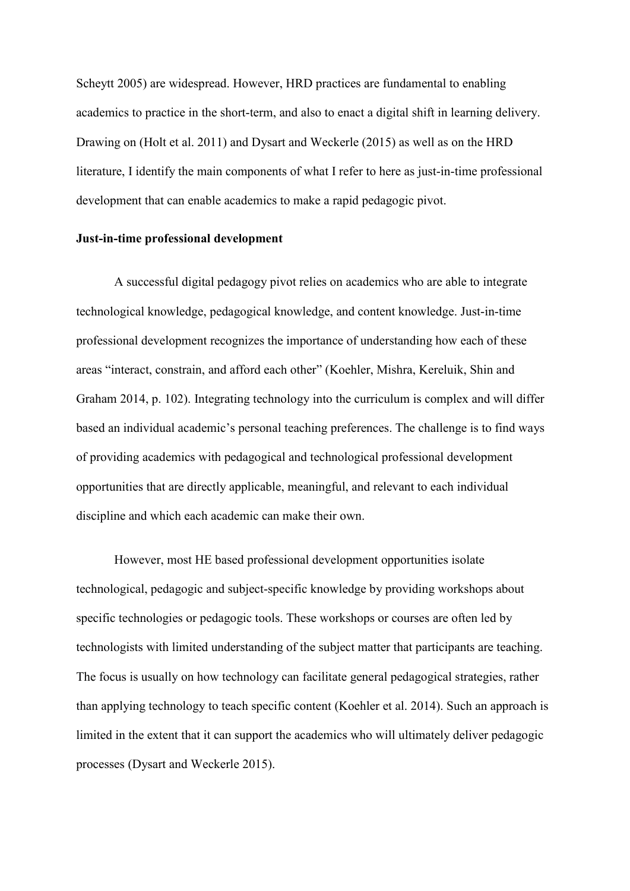Scheytt 2005) are widespread. However, HRD practices are fundamental to enabling academics to practice in the short-term, and also to enact a digital shift in learning delivery. Drawing on (Holt et al. 2011) and Dysart and Weckerle (2015) as well as on the HRD literature, I identify the main components of what I refer to here as just-in-time professional development that can enable academics to make a rapid pedagogic pivot.

## **Just-in-time professional development**

A successful digital pedagogy pivot relies on academics who are able to integrate technological knowledge, pedagogical knowledge, and content knowledge. Just-in-time professional development recognizes the importance of understanding how each of these areas "interact, constrain, and afford each other" (Koehler, Mishra, Kereluik, Shin and Graham 2014, p. 102). Integrating technology into the curriculum is complex and will differ based an individual academic's personal teaching preferences. The challenge is to find ways of providing academics with pedagogical and technological professional development opportunities that are directly applicable, meaningful, and relevant to each individual discipline and which each academic can make their own.

However, most HE based professional development opportunities isolate technological, pedagogic and subject-specific knowledge by providing workshops about specific technologies or pedagogic tools. These workshops or courses are often led by technologists with limited understanding of the subject matter that participants are teaching. The focus is usually on how technology can facilitate general pedagogical strategies, rather than applying technology to teach specific content (Koehler et al. 2014). Such an approach is limited in the extent that it can support the academics who will ultimately deliver pedagogic processes (Dysart and Weckerle 2015).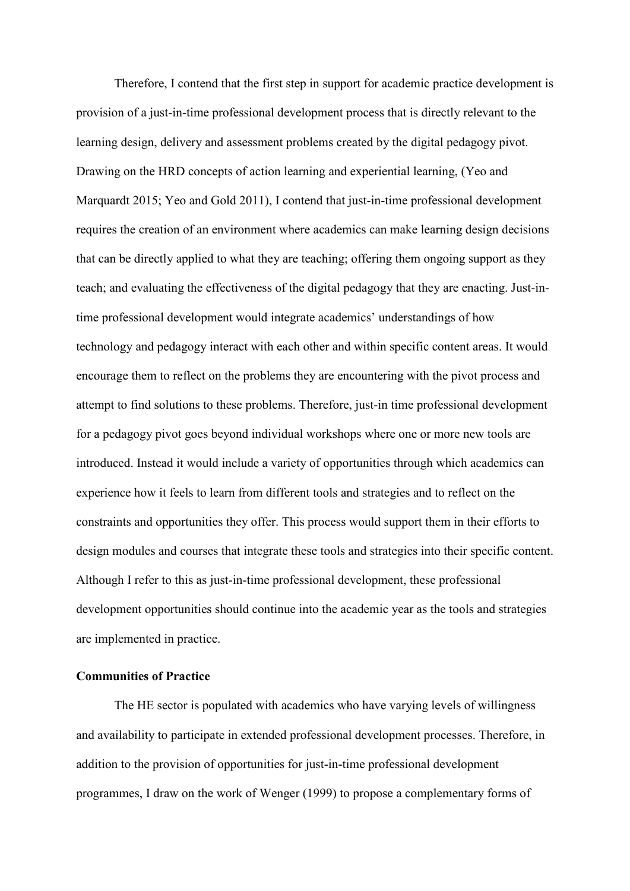Therefore, I contend that the first step in support for academic practice development is provision of a just-in-time professional development process that is directly relevant to the learning design, delivery and assessment problems created by the digital pedagogy pivot. Drawing on the HRD concepts of action learning and experiential learning, (Yeo and Marquardt 2015; Yeo and Gold 2011), I contend that just-in-time professional development requires the creation of an environment where academics can make learning design decisions that can be directly applied to what they are teaching; offering them ongoing support as they teach; and evaluating the effectiveness of the digital pedagogy that they are enacting. Just-intime professional development would integrate academics' understandings of how technology and pedagogy interact with each other and within specific content areas. It would encourage them to reflect on the problems they are encountering with the pivot process and attempt to find solutions to these problems. Therefore, just-in time professional development for a pedagogy pivot goes beyond individual workshops where one or more new tools are introduced. Instead it would include a variety of opportunities through which academics can experience how it feels to learn from different tools and strategies and to reflect on the constraints and opportunities they offer. This process would support them in their efforts to design modules and courses that integrate these tools and strategies into their specific content. Although I refer to this as just-in-time professional development, these professional development opportunities should continue into the academic year as the tools and strategies are implemented in practice.

## **Communities of Practice**

The HE sector is populated with academics who have varying levels of willingness and availability to participate in extended professional development processes. Therefore, in addition to the provision of opportunities for just-in-time professional development programmes, I draw on the work of Wenger (1999) to propose a complementary forms of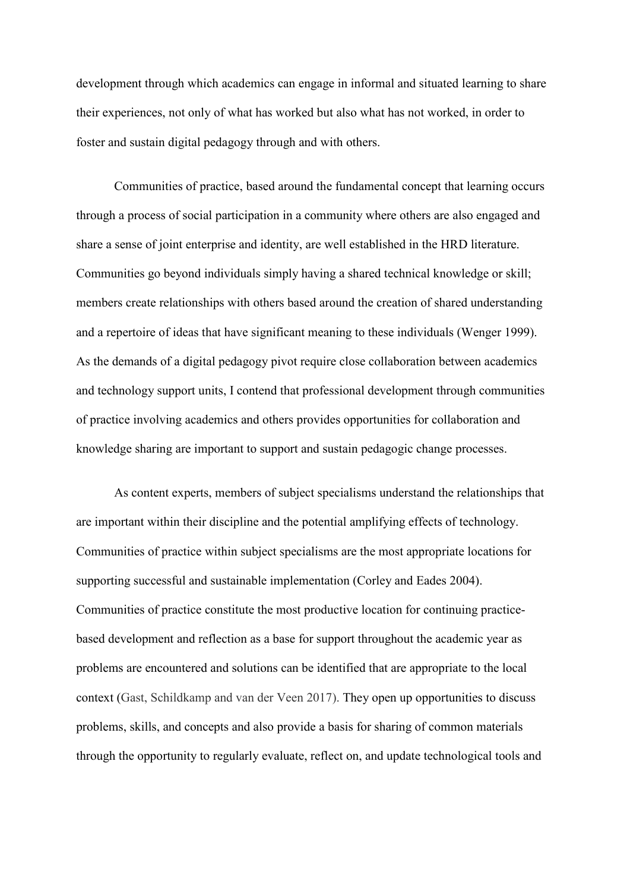development through which academics can engage in informal and situated learning to share their experiences, not only of what has worked but also what has not worked, in order to foster and sustain digital pedagogy through and with others.

Communities of practice, based around the fundamental concept that learning occurs through a process of social participation in a community where others are also engaged and share a sense of joint enterprise and identity, are well established in the HRD literature. Communities go beyond individuals simply having a shared technical knowledge or skill; members create relationships with others based around the creation of shared understanding and a repertoire of ideas that have significant meaning to these individuals (Wenger 1999). As the demands of a digital pedagogy pivot require close collaboration between academics and technology support units, I contend that professional development through communities of practice involving academics and others provides opportunities for collaboration and knowledge sharing are important to support and sustain pedagogic change processes.

As content experts, members of subject specialisms understand the relationships that are important within their discipline and the potential amplifying effects of technology. Communities of practice within subject specialisms are the most appropriate locations for supporting successful and sustainable implementation (Corley and Eades 2004). Communities of practice constitute the most productive location for continuing practicebased development and reflection as a base for support throughout the academic year as problems are encountered and solutions can be identified that are appropriate to the local context (Gast, Schildkamp and van der Veen 2017). They open up opportunities to discuss problems, skills, and concepts and also provide a basis for sharing of common materials through the opportunity to regularly evaluate, reflect on, and update technological tools and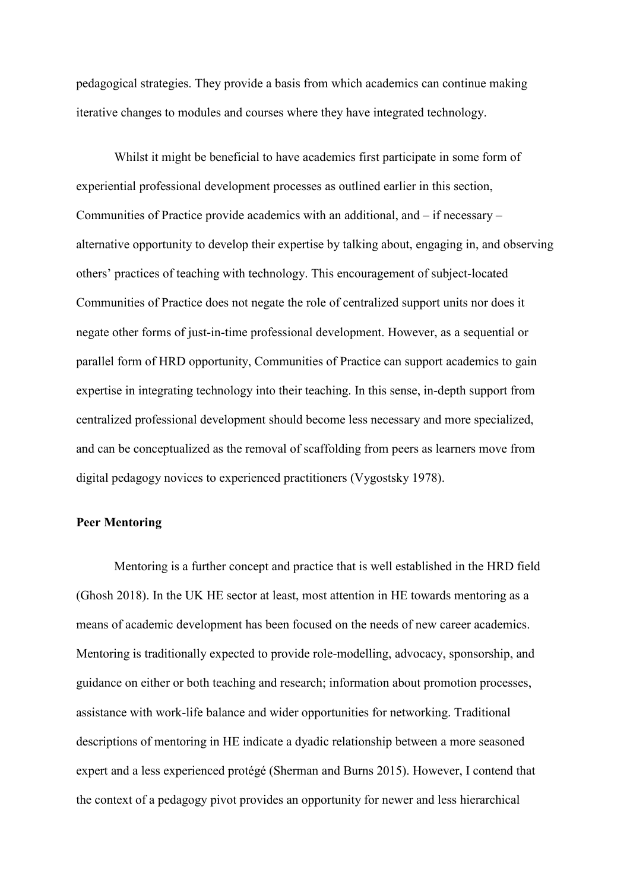pedagogical strategies. They provide a basis from which academics can continue making iterative changes to modules and courses where they have integrated technology.

Whilst it might be beneficial to have academics first participate in some form of experiential professional development processes as outlined earlier in this section, Communities of Practice provide academics with an additional, and – if necessary – alternative opportunity to develop their expertise by talking about, engaging in, and observing others' practices of teaching with technology. This encouragement of subject-located Communities of Practice does not negate the role of centralized support units nor does it negate other forms of just-in-time professional development. However, as a sequential or parallel form of HRD opportunity, Communities of Practice can support academics to gain expertise in integrating technology into their teaching. In this sense, in-depth support from centralized professional development should become less necessary and more specialized, and can be conceptualized as the removal of scaffolding from peers as learners move from digital pedagogy novices to experienced practitioners (Vygostsky 1978).

#### **Peer Mentoring**

Mentoring is a further concept and practice that is well established in the HRD field (Ghosh 2018). In the UK HE sector at least, most attention in HE towards mentoring as a means of academic development has been focused on the needs of new career academics. Mentoring is traditionally expected to provide role-modelling, advocacy, sponsorship, and guidance on either or both teaching and research; information about promotion processes, assistance with work-life balance and wider opportunities for networking. Traditional descriptions of mentoring in HE indicate a dyadic relationship between a more seasoned expert and a less experienced protégé (Sherman and Burns 2015). However, I contend that the context of a pedagogy pivot provides an opportunity for newer and less hierarchical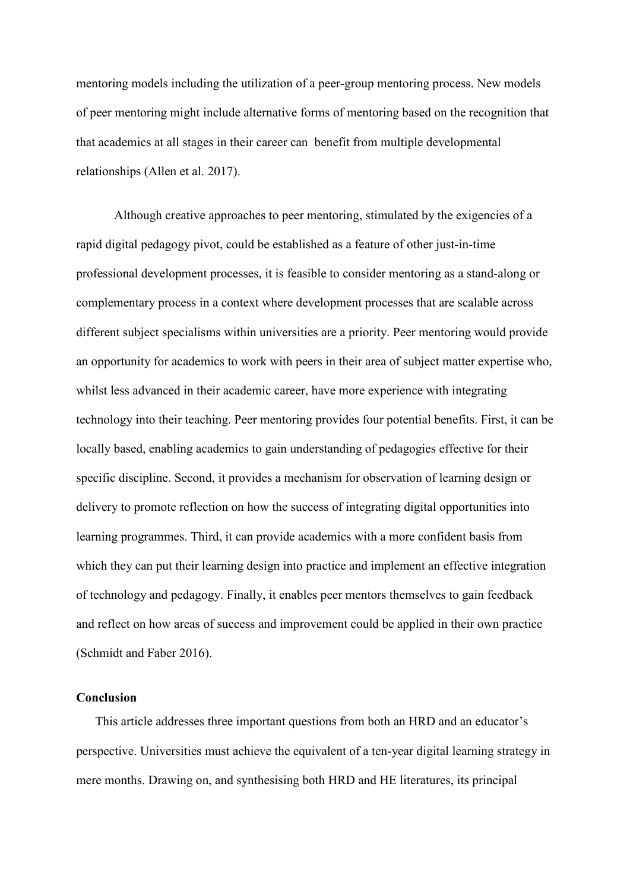mentoring models including the utilization of a peer-group mentoring process. New models of peer mentoring might include alternative forms of mentoring based on the recognition that that academics at all stages in their career can benefit from multiple developmental relationships (Allen et al. 2017).

Although creative approaches to peer mentoring, stimulated by the exigencies of a rapid digital pedagogy pivot, could be established as a feature of other just-in-time professional development processes, it is feasible to consider mentoring as a stand-along or complementary process in a context where development processes that are scalable across different subject specialisms within universities are a priority. Peer mentoring would provide an opportunity for academics to work with peers in their area of subject matter expertise who, whilst less advanced in their academic career, have more experience with integrating technology into their teaching. Peer mentoring provides four potential benefits. First, it can be locally based, enabling academics to gain understanding of pedagogies effective for their specific discipline. Second, it provides a mechanism for observation of learning design or delivery to promote reflection on how the success of integrating digital opportunities into learning programmes. Third, it can provide academics with a more confident basis from which they can put their learning design into practice and implement an effective integration of technology and pedagogy. Finally, it enables peer mentors themselves to gain feedback and reflect on how areas of success and improvement could be applied in their own practice (Schmidt and Faber 2016).

### **Conclusion**

This article addresses three important questions from both an HRD and an educator's perspective. Universities must achieve the equivalent of a ten-year digital learning strategy in mere months. Drawing on, and synthesising both HRD and HE literatures, its principal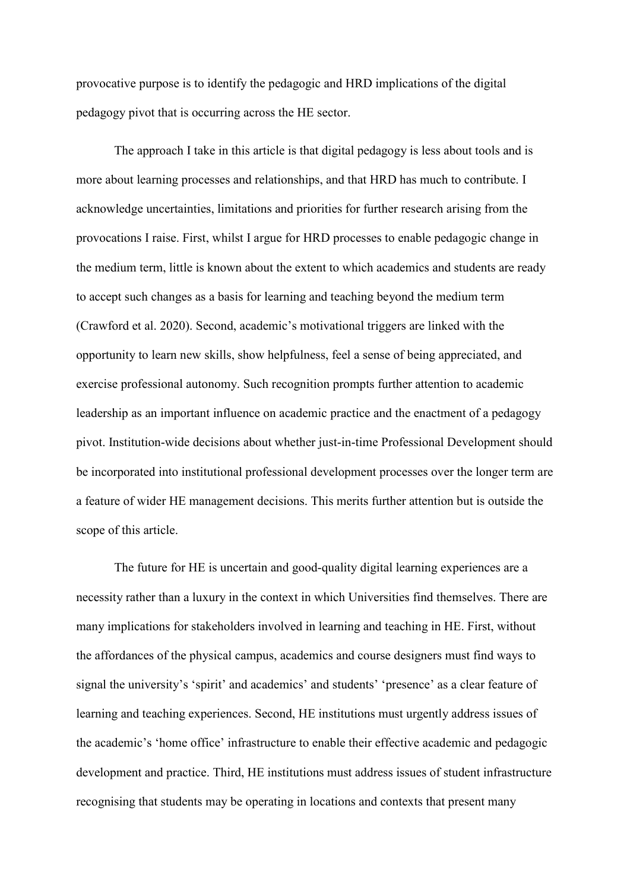provocative purpose is to identify the pedagogic and HRD implications of the digital pedagogy pivot that is occurring across the HE sector.

The approach I take in this article is that digital pedagogy is less about tools and is more about learning processes and relationships, and that HRD has much to contribute. I acknowledge uncertainties, limitations and priorities for further research arising from the provocations I raise. First, whilst I argue for HRD processes to enable pedagogic change in the medium term, little is known about the extent to which academics and students are ready to accept such changes as a basis for learning and teaching beyond the medium term (Crawford et al. 2020). Second, academic's motivational triggers are linked with the opportunity to learn new skills, show helpfulness, feel a sense of being appreciated, and exercise professional autonomy. Such recognition prompts further attention to academic leadership as an important influence on academic practice and the enactment of a pedagogy pivot. Institution-wide decisions about whether just-in-time Professional Development should be incorporated into institutional professional development processes over the longer term are a feature of wider HE management decisions. This merits further attention but is outside the scope of this article.

The future for HE is uncertain and good-quality digital learning experiences are a necessity rather than a luxury in the context in which Universities find themselves. There are many implications for stakeholders involved in learning and teaching in HE. First, without the affordances of the physical campus, academics and course designers must find ways to signal the university's 'spirit' and academics' and students' 'presence' as a clear feature of learning and teaching experiences. Second, HE institutions must urgently address issues of the academic's 'home office' infrastructure to enable their effective academic and pedagogic development and practice. Third, HE institutions must address issues of student infrastructure recognising that students may be operating in locations and contexts that present many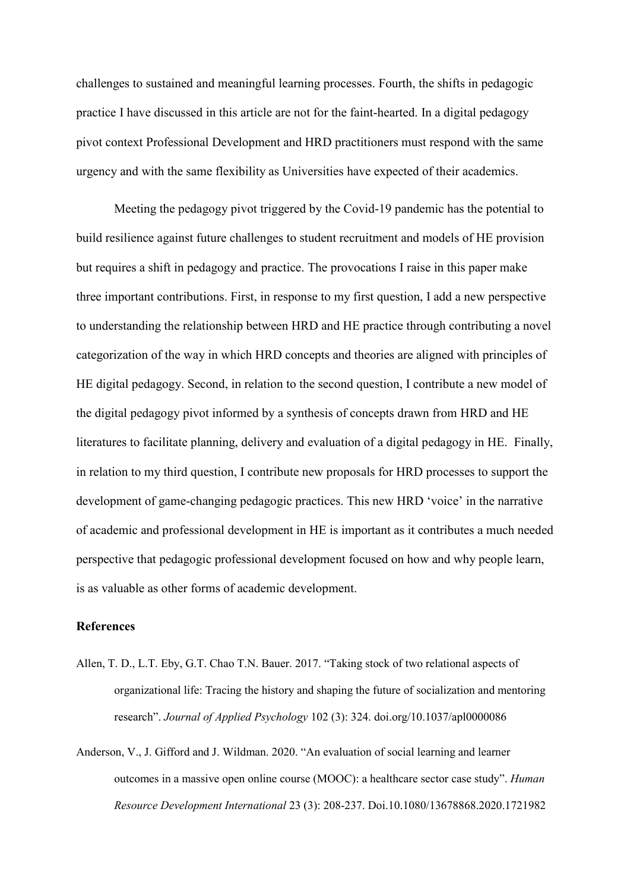challenges to sustained and meaningful learning processes. Fourth, the shifts in pedagogic practice I have discussed in this article are not for the faint-hearted. In a digital pedagogy pivot context Professional Development and HRD practitioners must respond with the same urgency and with the same flexibility as Universities have expected of their academics.

Meeting the pedagogy pivot triggered by the Covid-19 pandemic has the potential to build resilience against future challenges to student recruitment and models of HE provision but requires a shift in pedagogy and practice. The provocations I raise in this paper make three important contributions. First, in response to my first question, I add a new perspective to understanding the relationship between HRD and HE practice through contributing a novel categorization of the way in which HRD concepts and theories are aligned with principles of HE digital pedagogy. Second, in relation to the second question, I contribute a new model of the digital pedagogy pivot informed by a synthesis of concepts drawn from HRD and HE literatures to facilitate planning, delivery and evaluation of a digital pedagogy in HE. Finally, in relation to my third question, I contribute new proposals for HRD processes to support the development of game-changing pedagogic practices. This new HRD 'voice' in the narrative of academic and professional development in HE is important as it contributes a much needed perspective that pedagogic professional development focused on how and why people learn, is as valuable as other forms of academic development.

### **References**

- Allen, T. D., L.T. Eby, G.T. Chao T.N. Bauer. 2017. "Taking stock of two relational aspects of organizational life: Tracing the history and shaping the future of socialization and mentoring research". *Journal of Applied Psychology* 102 (3): 324. doi.org/10.1037/apl0000086
- Anderson, V., J. Gifford and J. Wildman. 2020. "An evaluation of social learning and learner outcomes in a massive open online course (MOOC): a healthcare sector case study". *Human Resource Development International* 23 (3): 208-237. Doi.10.1080/13678868.2020.1721982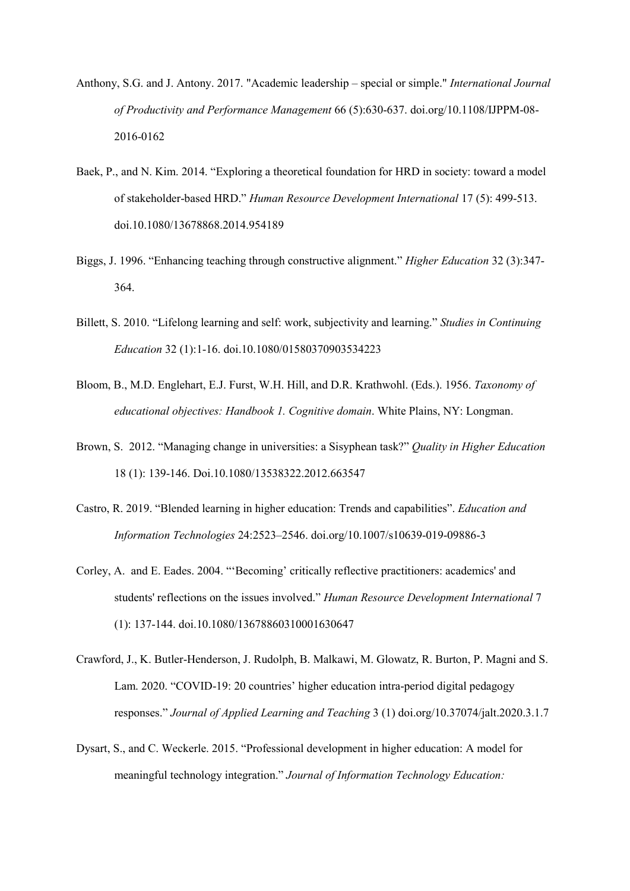- Anthony, S.G. and J. Antony. 2017. "Academic leadership special or simple." *International Journal of Productivity and Performance Management* 66 (5):630-637. doi.org/10.1108/IJPPM-08- 2016-0162
- Baek, P., and N. Kim. 2014. "Exploring a theoretical foundation for HRD in society: toward a model of stakeholder-based HRD." *Human Resource Development International* 17 (5): 499-513. doi.10.1080/13678868.2014.954189
- Biggs, J. 1996. "Enhancing teaching through constructive alignment." *Higher Education* 32 (3):347- 364.
- Billett, S. 2010. "Lifelong learning and self: work, subjectivity and learning." *Studies in Continuing Education* 32 (1):1-16. doi.10.1080/01580370903534223
- Bloom, B., M.D. Englehart, E.J. Furst, W.H. Hill, and D.R. Krathwohl. (Eds.). 1956. *Taxonomy of educational objectives: Handbook 1. Cognitive domain*. White Plains, NY: Longman.
- Brown, S. 2012. "Managing change in universities: a Sisyphean task?" *Quality in Higher Education* 18 (1): 139-146. Doi.10.1080/13538322.2012.663547
- Castro, R. 2019. "Blended learning in higher education: Trends and capabilities". *Education and Information Technologies* 24:2523–2546. doi.org/10.1007/s10639-019-09886-3
- Corley, A. and E. Eades. 2004. "'Becoming' critically reflective practitioners: academics' and students' reflections on the issues involved." *Human Resource Development International* 7 (1): 137-144. doi.10.1080/13678860310001630647
- Crawford, J., K. Butler-Henderson, J. Rudolph, B. Malkawi, M. Glowatz, R. Burton, P. Magni and S. Lam. 2020. "COVID-19: 20 countries' higher education intra-period digital pedagogy responses." *Journal of Applied Learning and Teaching* 3 (1) doi.org/10.37074/jalt.2020.3.1.7
- Dysart, S., and C. Weckerle. 2015. "Professional development in higher education: A model for meaningful technology integration." *Journal of Information Technology Education:*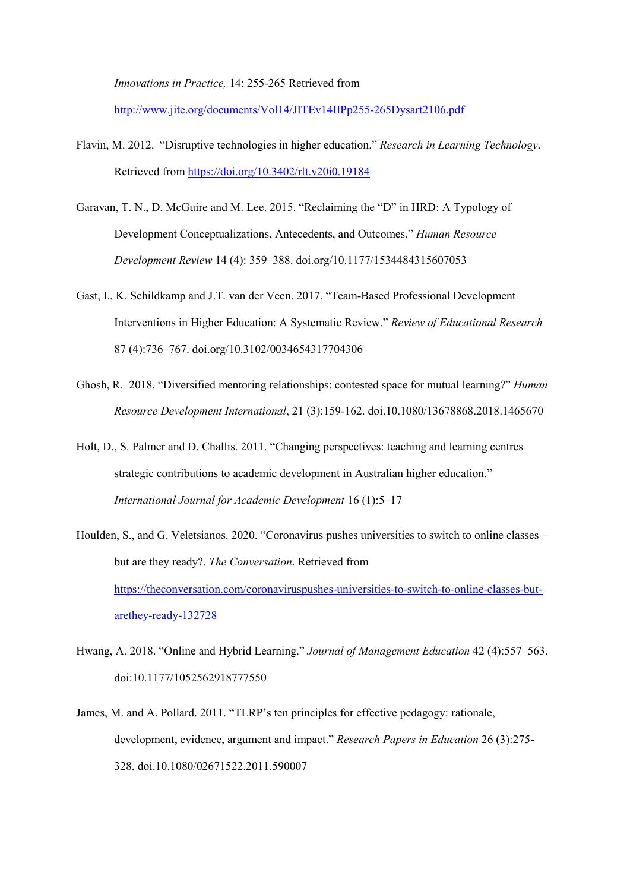*Innovations in Practice,* 14: 255-265 Retrieved from

<http://www.jite.org/documents/Vol14/JITEv14IIPp255-265Dysart2106.pdf>

- Flavin, M. 2012. "Disruptive technologies in higher education." *Research in Learning Technology*. Retrieved fro[m https://doi.org/10.3402/rlt.v20i0.19184](https://doi.org/10.3402/rlt.v20i0.19184)
- Garavan, T. N., D. McGuire and M. Lee. 2015. "Reclaiming the "D" in HRD: A Typology of Development Conceptualizations, Antecedents, and Outcomes." *Human Resource Development Review* 14 (4): 359–388. doi.org/10.1177/1534484315607053
- Gast, I., K. Schildkamp and J.T. van der Veen. 2017. "Team-Based Professional Development Interventions in Higher Education: A Systematic Review." *Review of Educational Research* 87 (4):736–767. doi.org/10.3102/0034654317704306
- Ghosh, R. 2018. "Diversified mentoring relationships: contested space for mutual learning?" *Human Resource Development International*, 21 (3):159-162. doi.10.1080/13678868.2018.1465670
- Holt, D., S. Palmer and D. Challis. 2011. "Changing perspectives: teaching and learning centres strategic contributions to academic development in Australian higher education." *International Journal for Academic Development* 16 (1):5–17
- Houlden, S., and G. Veletsianos. 2020. "Coronavirus pushes universities to switch to online classes but are they ready?. *The Conversation*. Retrieved from [https://theconversation.com/coronaviruspushes-universities-to-switch-to-online-classes-but](https://theconversation.com/coronaviruspushes-universities-to-switch-to-online-classes-but-arethey-ready-132728)[arethey-ready-132728](https://theconversation.com/coronaviruspushes-universities-to-switch-to-online-classes-but-arethey-ready-132728)
- Hwang, A. 2018. "Online and Hybrid Learning." *Journal of Management Education* 42 (4):557–563. doi:10.1177/1052562918777550
- James, M. and A. Pollard. 2011. "TLRP's ten principles for effective pedagogy: rationale, development, evidence, argument and impact." *Research Papers in Education* 26 (3):275- 328. doi.10.1080/02671522.2011.590007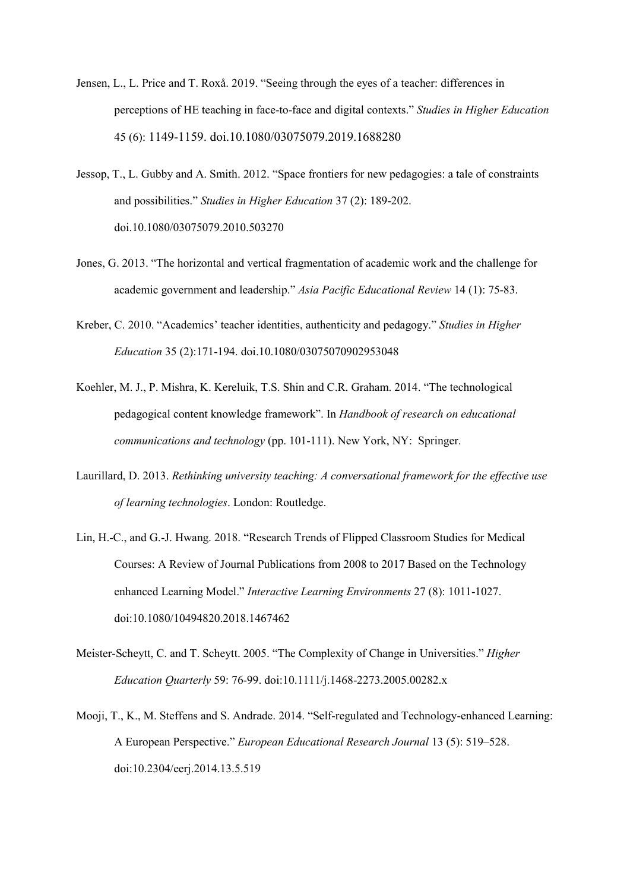- Jensen, L., L. Price and T. Roxå. 2019. "Seeing through the eyes of a teacher: differences in perceptions of HE teaching in face-to-face and digital contexts." *Studies in Higher Education*  45 (6): 1149-1159. doi.10.1080/03075079.2019.1688280
- Jessop, T., L. Gubby and A. Smith. 2012. "Space frontiers for new pedagogies: a tale of constraints and possibilities." *Studies in Higher Education* 37 (2): 189-202. doi.10.1080/03075079.2010.503270
- Jones, G. 2013. "The horizontal and vertical fragmentation of academic work and the challenge for academic government and leadership." *Asia Pacific Educational Review* 14 (1): 75-83.
- Kreber, C. 2010. "Academics' teacher identities, authenticity and pedagogy." *Studies in Higher Education* 35 (2):171-194. doi.10.1080/03075070902953048
- Koehler, M. J., P. Mishra, K. Kereluik, T.S. Shin and C.R. Graham. 2014. "The technological pedagogical content knowledge framework". In *Handbook of research on educational communications and technology* (pp. 101-111). New York, NY: Springer.
- Laurillard, D. 2013. *Rethinking university teaching: A conversational framework for the effective use of learning technologies*. London: Routledge.
- Lin, H.-C., and G.-J. Hwang. 2018. "Research Trends of Flipped Classroom Studies for Medical Courses: A Review of Journal Publications from 2008 to 2017 Based on the Technology enhanced Learning Model." *Interactive Learning Environments* 27 (8): 1011-1027. doi:10.1080/10494820.2018.1467462
- Meister‐Scheytt, C. and T. Scheytt. 2005. "The Complexity of Change in Universities." *Higher Education Quarterly* 59: 76-99. doi:10.1111/j.1468-2273.2005.00282.x
- Mooji, T., K., M. Steffens and S. Andrade. 2014. "Self-regulated and Technology-enhanced Learning: A European Perspective." *European Educational Research Journal* 13 (5): 519–528. doi:10.2304/eerj.2014.13.5.519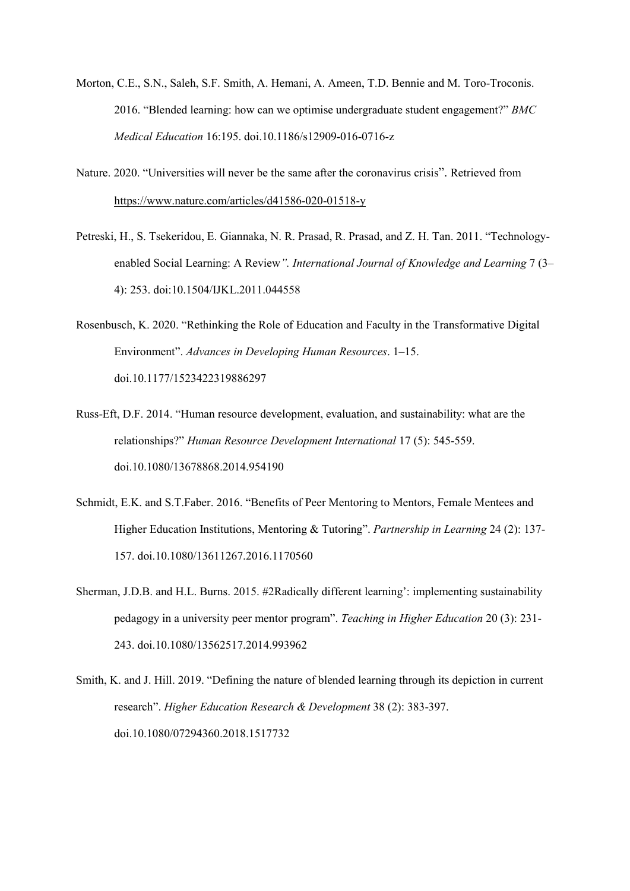- Morton, C.E., S.N., Saleh, S.F. Smith, A. Hemani, A. Ameen, T.D. Bennie and M. Toro-Troconis. 2016. "Blended learning: how can we optimise undergraduate student engagement?" *BMC Medical Education* 16:195. doi.10.1186/s12909-016-0716-z
- Nature. 2020. "Universities will never be the same after the coronavirus crisis". Retrieved from <https://www.nature.com/articles/d41586-020-01518-y>
- Petreski, H., S. Tsekeridou, E. Giannaka, N. R. Prasad, R. Prasad, and Z. H. Tan. 2011. "Technologyenabled Social Learning: A Review*". International Journal of Knowledge and Learning* 7 (3– 4): 253. doi:10.1504/IJKL.2011.044558
- Rosenbusch, K. 2020. "Rethinking the Role of Education and Faculty in the Transformative Digital Environment". *Advances in Developing Human Resources*. 1–15. doi.10.1177/1523422319886297
- Russ-Eft, D.F. 2014. "Human resource development, evaluation, and sustainability: what are the relationships?" *Human Resource Development International* 17 (5): 545-559. doi.10.1080/13678868.2014.954190
- Schmidt, E.K. and S.T.Faber. 2016. "Benefits of Peer Mentoring to Mentors, Female Mentees and Higher Education Institutions, Mentoring & Tutoring". *Partnership in Learning* 24 (2): 137- 157. doi.10.1080/13611267.2016.1170560
- Sherman, J.D.B. and H.L. Burns. 2015. #2Radically different learning': implementing sustainability pedagogy in a university peer mentor program". *Teaching in Higher Education* 20 (3): 231- 243. doi.10.1080/13562517.2014.993962

Smith, K. and J. Hill. 2019. "Defining the nature of blended learning through its depiction in current research". *Higher Education Research & Development* 38 (2): 383-397. doi.10.1080/07294360.2018.1517732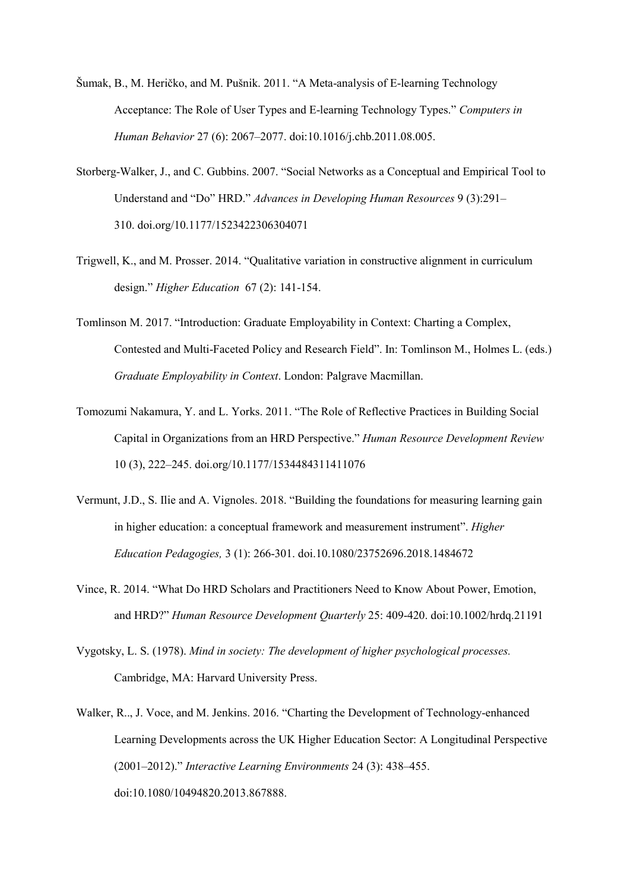- Šumak, B., M. Heričko, and M. Pušnik. 2011. "A Meta-analysis of E-learning Technology Acceptance: The Role of User Types and E-learning Technology Types." *Computers in Human Behavior* 27 (6): 2067–2077. doi:10.1016/j.chb.2011.08.005.
- Storberg-Walker, J., and C. Gubbins. 2007. "Social Networks as a Conceptual and Empirical Tool to Understand and "Do" HRD." *Advances in Developing Human Resources* 9 (3):291– 310. doi.org/10.1177/1523422306304071
- Trigwell, K., and M. Prosser. 2014. "Qualitative variation in constructive alignment in curriculum design." *Higher Education* 67 (2): 141-154.
- Tomlinson M. 2017. "Introduction: Graduate Employability in Context: Charting a Complex, Contested and Multi-Faceted Policy and Research Field". In: Tomlinson M., Holmes L. (eds.) *Graduate Employability in Context*. London: Palgrave Macmillan.
- Tomozumi Nakamura, Y. and L. Yorks. 2011. "The Role of Reflective Practices in Building Social Capital in Organizations from an HRD Perspective." *Human Resource Development Review* 10 (3), 222–245. doi.org/10.1177/1534484311411076
- Vermunt, J.D., S. Ilie and A. Vignoles. 2018. "Building the foundations for measuring learning gain in higher education: a conceptual framework and measurement instrument". *Higher Education Pedagogies,* 3 (1): 266-301. doi.10.1080/23752696.2018.1484672
- Vince, R. 2014. "What Do HRD Scholars and Practitioners Need to Know About Power, Emotion, and HRD?" *Human Resource Development Quarterly* 25: 409-420. doi:10.1002/hrdq.21191
- Vygotsky, L. S. (1978). *Mind in society: The development of higher psychological processes.* Cambridge, MA: Harvard University Press.
- Walker, R.., J. Voce, and M. Jenkins. 2016. "Charting the Development of Technology-enhanced Learning Developments across the UK Higher Education Sector: A Longitudinal Perspective (2001–2012)." *Interactive Learning Environments* 24 (3): 438–455. doi:10.1080/10494820.2013.867888.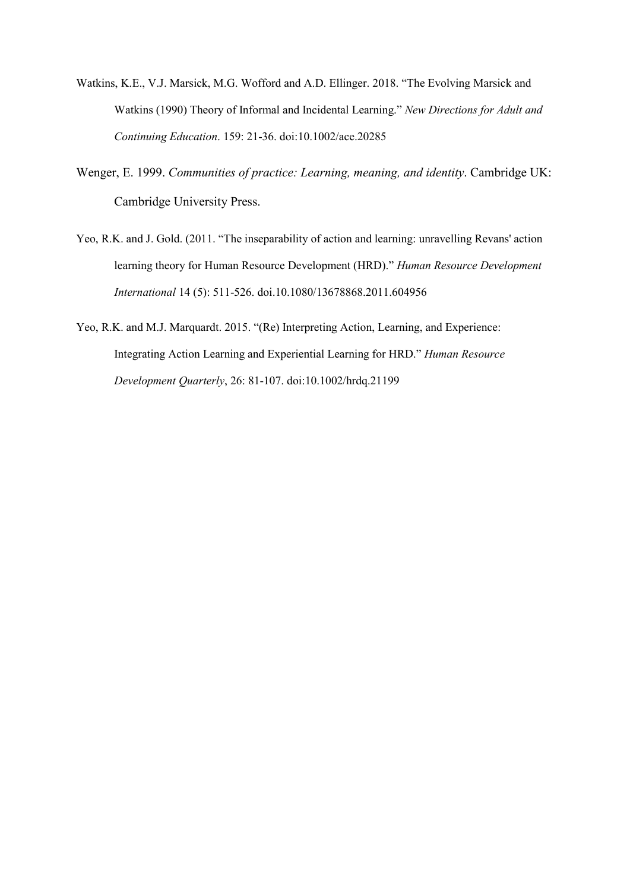- Watkins, K.E., V.J. Marsick, M.G. Wofford and A.D. Ellinger. 2018. "The Evolving Marsick and Watkins (1990) Theory of Informal and Incidental Learning." *New Directions for Adult and Continuing Education*. 159: 21-36. doi:10.1002/ace.20285
- Wenger, E. 1999. *Communities of practice: Learning, meaning, and identity*. Cambridge UK: Cambridge University Press.
- Yeo, R.K. and J. Gold. (2011. "The inseparability of action and learning: unravelling Revans' action learning theory for Human Resource Development (HRD)." *Human Resource Development International* 14 (5): 511-526. doi.10.1080/13678868.2011.604956
- Yeo, R.K. and M.J. Marquardt. 2015. "(Re) Interpreting Action, Learning, and Experience: Integrating Action Learning and Experiential Learning for HRD." *Human Resource Development Quarterly*, 26: 81-107. doi:10.1002/hrdq.21199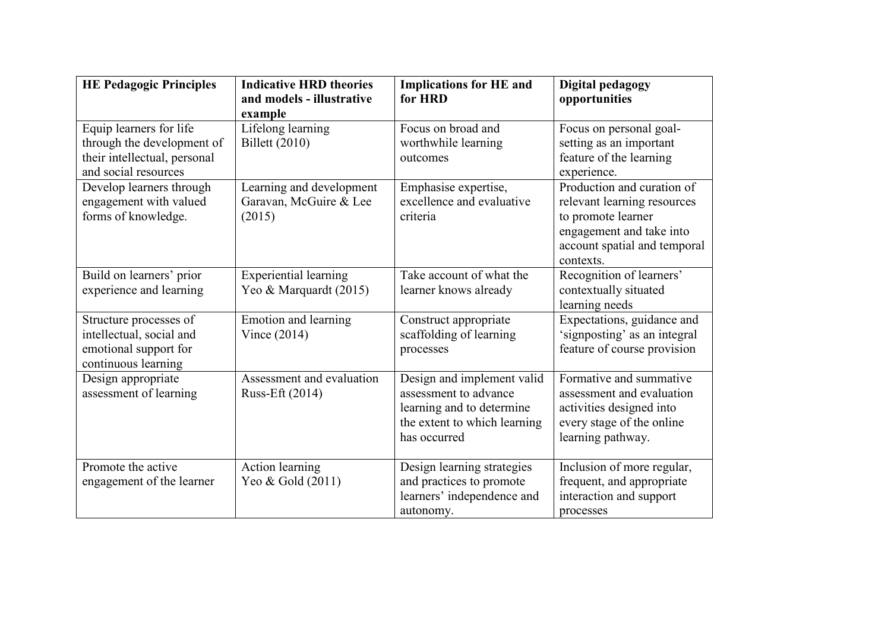| <b>HE Pedagogic Principles</b>                                                                                | <b>Implications for HE and</b><br><b>Indicative HRD theories</b><br>and models - illustrative<br>for HRD<br>example           |                                                                                                                                  | Digital pedagogy<br>opportunities                                                                                                                        |  |  |
|---------------------------------------------------------------------------------------------------------------|-------------------------------------------------------------------------------------------------------------------------------|----------------------------------------------------------------------------------------------------------------------------------|----------------------------------------------------------------------------------------------------------------------------------------------------------|--|--|
| Equip learners for life<br>through the development of<br>their intellectual, personal<br>and social resources | Lifelong learning<br><b>Billett</b> (2010)                                                                                    | Focus on broad and<br>worthwhile learning<br>outcomes                                                                            | Focus on personal goal-<br>setting as an important<br>feature of the learning<br>experience.                                                             |  |  |
| Develop learners through<br>engagement with valued<br>forms of knowledge.                                     | Learning and development<br>Emphasise expertise,<br>excellence and evaluative<br>Garavan, McGuire & Lee<br>(2015)<br>criteria |                                                                                                                                  | Production and curation of<br>relevant learning resources<br>to promote learner<br>engagement and take into<br>account spatial and temporal<br>contexts. |  |  |
| Build on learners' prior<br>experience and learning                                                           | <b>Experiential learning</b><br>Yeo & Marquardt (2015)                                                                        | Take account of what the<br>learner knows already                                                                                | Recognition of learners'<br>contextually situated<br>learning needs                                                                                      |  |  |
| Structure processes of<br>intellectual, social and<br>emotional support for<br>continuous learning            | Emotion and learning<br>Vince $(2014)$                                                                                        | Construct appropriate<br>scaffolding of learning<br>processes                                                                    | Expectations, guidance and<br>'signposting' as an integral<br>feature of course provision                                                                |  |  |
| Design appropriate<br>assessment of learning                                                                  | Assessment and evaluation<br>Russ-Eft (2014)                                                                                  | Design and implement valid<br>assessment to advance<br>learning and to determine<br>the extent to which learning<br>has occurred | Formative and summative<br>assessment and evaluation<br>activities designed into<br>every stage of the online<br>learning pathway.                       |  |  |
| Promote the active<br>engagement of the learner                                                               | Action learning<br>Yeo & Gold (2011)                                                                                          | Design learning strategies<br>and practices to promote<br>learners' independence and<br>autonomy.                                | Inclusion of more regular,<br>frequent, and appropriate<br>interaction and support<br>processes                                                          |  |  |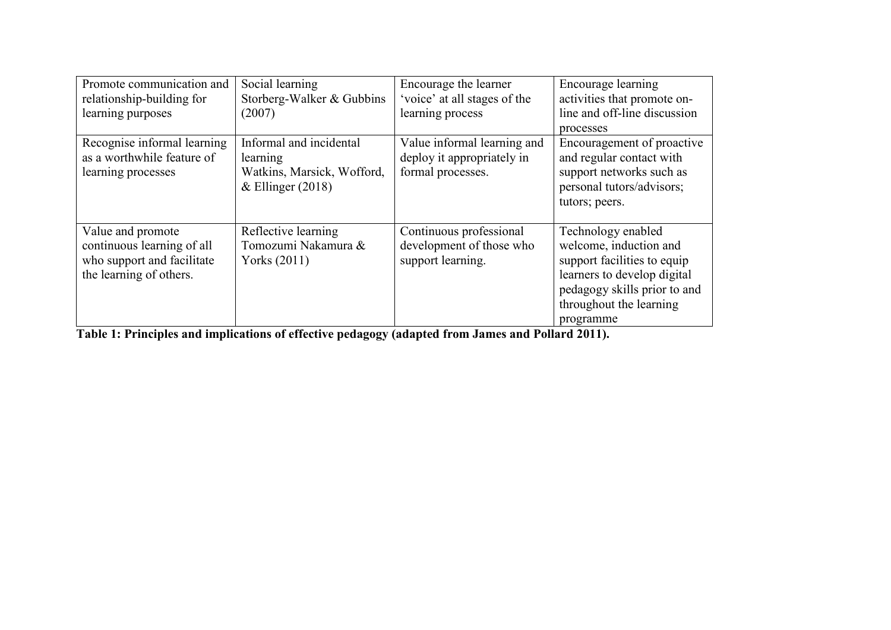| Promote communication and                                                                                | Social learning                                                                          | Encourage the learner                                                          | Encourage learning                                                                                                                                                                 |  |
|----------------------------------------------------------------------------------------------------------|------------------------------------------------------------------------------------------|--------------------------------------------------------------------------------|------------------------------------------------------------------------------------------------------------------------------------------------------------------------------------|--|
| relationship-building for                                                                                | Storberg-Walker & Gubbins                                                                | 'voice' at all stages of the                                                   | activities that promote on-                                                                                                                                                        |  |
| learning purposes                                                                                        | (2007)                                                                                   | learning process                                                               | line and off-line discussion                                                                                                                                                       |  |
|                                                                                                          |                                                                                          |                                                                                | processes                                                                                                                                                                          |  |
| Recognise informal learning<br>as a worthwhile feature of<br>learning processes                          | Informal and incidental<br>learning<br>Watkins, Marsick, Wofford,<br>& Ellinger $(2018)$ | Value informal learning and<br>deploy it appropriately in<br>formal processes. | Encouragement of proactive<br>and regular contact with<br>support networks such as<br>personal tutors/advisors;<br>tutors; peers.                                                  |  |
| Value and promote<br>continuous learning of all<br>who support and facilitate<br>the learning of others. | Reflective learning<br>Tomozumi Nakamura &<br>Yorks (2011)                               | Continuous professional<br>development of those who<br>support learning.       | Technology enabled<br>welcome, induction and<br>support facilities to equip<br>learners to develop digital<br>pedagogy skills prior to and<br>throughout the learning<br>programme |  |

**Table 1: Principles and implications of effective pedagogy (adapted from James and Pollard 2011).**